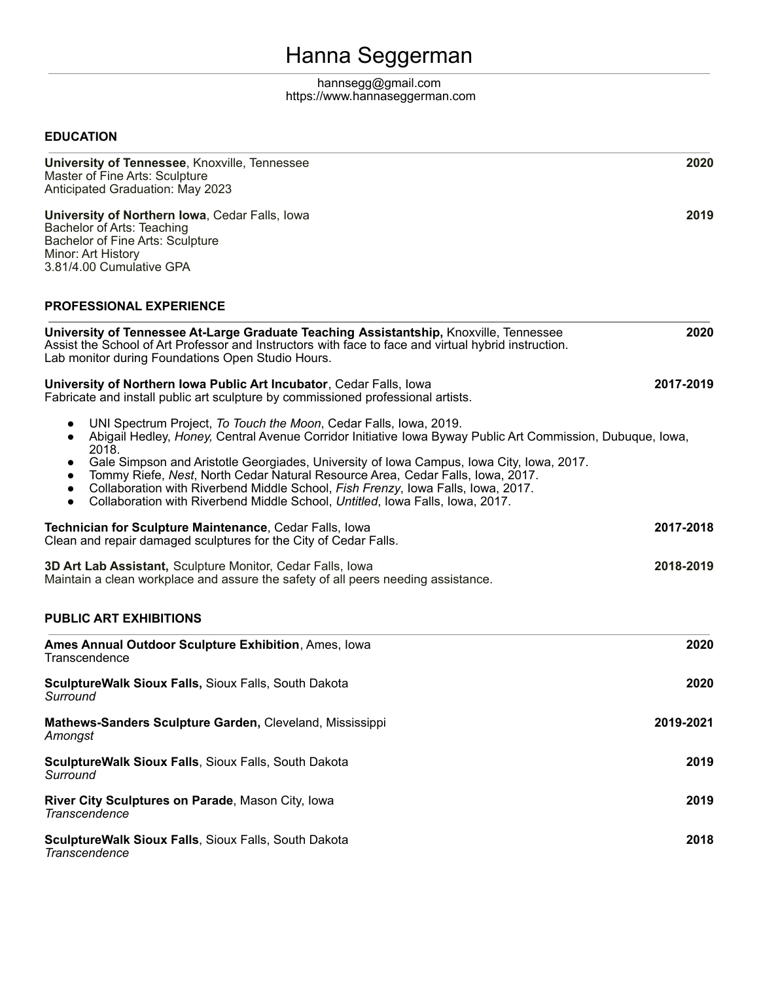# Hanna Seggerman

#### hannseg[g@](mailto:seggermh@uni.edu)gmail.com https://www.hannaseggerman.com

### **EDUCATION**

| University of Tennessee, Knoxville, Tennessee<br>Master of Fine Arts: Sculpture<br>Anticipated Graduation: May 2023                                                                                                                                                                                                                                                                                                                                                                                                                                                                             | 2020      |
|-------------------------------------------------------------------------------------------------------------------------------------------------------------------------------------------------------------------------------------------------------------------------------------------------------------------------------------------------------------------------------------------------------------------------------------------------------------------------------------------------------------------------------------------------------------------------------------------------|-----------|
| University of Northern Iowa, Cedar Falls, Iowa<br>Bachelor of Arts: Teaching<br>Bachelor of Fine Arts: Sculpture<br>Minor: Art History<br>3.81/4.00 Cumulative GPA                                                                                                                                                                                                                                                                                                                                                                                                                              | 2019      |
| <b>PROFESSIONAL EXPERIENCE</b>                                                                                                                                                                                                                                                                                                                                                                                                                                                                                                                                                                  |           |
| University of Tennessee At-Large Graduate Teaching Assistantship, Knoxville, Tennessee<br>Assist the School of Art Professor and Instructors with face to face and virtual hybrid instruction.<br>Lab monitor during Foundations Open Studio Hours.                                                                                                                                                                                                                                                                                                                                             | 2020      |
| University of Northern Iowa Public Art Incubator, Cedar Falls, Iowa<br>Fabricate and install public art sculpture by commissioned professional artists.                                                                                                                                                                                                                                                                                                                                                                                                                                         | 2017-2019 |
| UNI Spectrum Project, To Touch the Moon, Cedar Falls, Iowa, 2019.<br>Abigail Hedley, Honey, Central Avenue Corridor Initiative Iowa Byway Public Art Commission, Dubuque, Iowa,<br>2018.<br>Gale Simpson and Aristotle Georgiades, University of Iowa Campus, Iowa City, Iowa, 2017.<br>$\bullet$<br>Tommy Riefe, Nest, North Cedar Natural Resource Area, Cedar Falls, Iowa, 2017.<br>$\bullet$<br>Collaboration with Riverbend Middle School, Fish Frenzy, Iowa Falls, Iowa, 2017.<br>$\bullet$<br>Collaboration with Riverbend Middle School, Untitled, Iowa Falls, Iowa, 2017.<br>$\bullet$ |           |
| Technician for Sculpture Maintenance, Cedar Falls, Iowa<br>Clean and repair damaged sculptures for the City of Cedar Falls.                                                                                                                                                                                                                                                                                                                                                                                                                                                                     | 2017-2018 |
| 3D Art Lab Assistant, Sculpture Monitor, Cedar Falls, Iowa<br>Maintain a clean workplace and assure the safety of all peers needing assistance.                                                                                                                                                                                                                                                                                                                                                                                                                                                 | 2018-2019 |
| <b>PUBLIC ART EXHIBITIONS</b>                                                                                                                                                                                                                                                                                                                                                                                                                                                                                                                                                                   |           |
| Ames Annual Outdoor Sculpture Exhibition, Ames, Iowa<br>Transcendence                                                                                                                                                                                                                                                                                                                                                                                                                                                                                                                           | 2020      |
| SculptureWalk Sioux Falls, Sioux Falls, South Dakota<br>Surround                                                                                                                                                                                                                                                                                                                                                                                                                                                                                                                                | 2020      |
| Mathews-Sanders Sculpture Garden, Cleveland, Mississippi<br>Amongst                                                                                                                                                                                                                                                                                                                                                                                                                                                                                                                             | 2019-2021 |
| SculptureWalk Sioux Falls, Sioux Falls, South Dakota<br>Surround                                                                                                                                                                                                                                                                                                                                                                                                                                                                                                                                | 2019      |
| River City Sculptures on Parade, Mason City, Iowa<br>Transcendence                                                                                                                                                                                                                                                                                                                                                                                                                                                                                                                              | 2019      |
| Sculpture Walk Sioux Falls, Sioux Falls, South Dakota<br><b>Transcendence</b>                                                                                                                                                                                                                                                                                                                                                                                                                                                                                                                   | 2018      |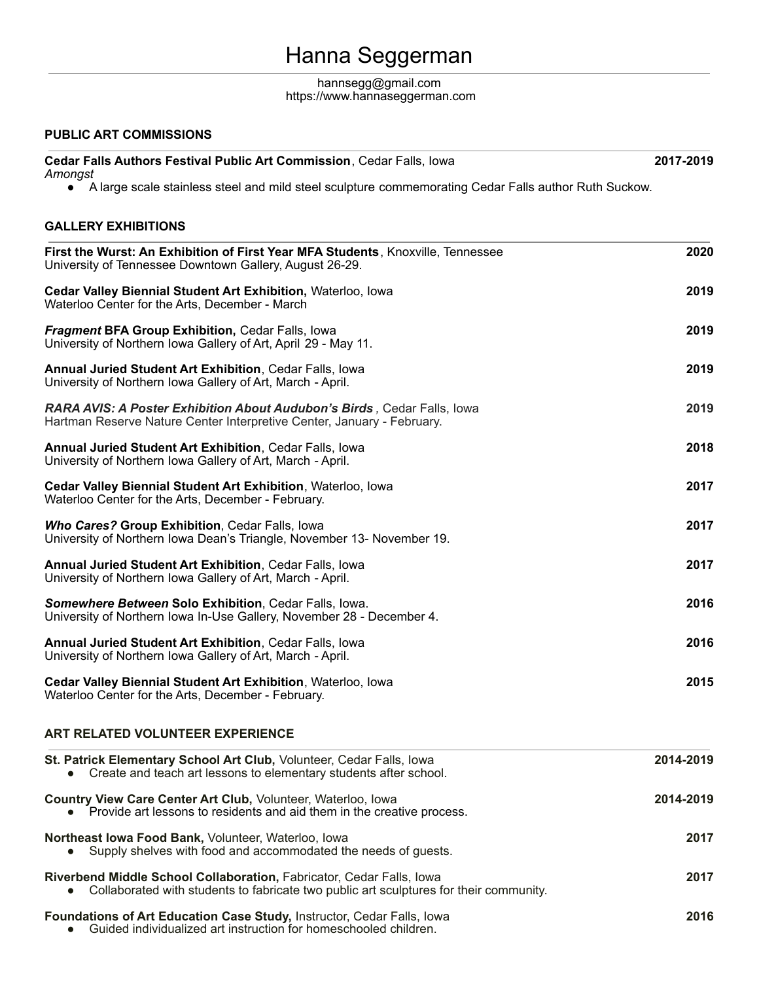## Hanna Seggerman

#### hannseg[g@](mailto:seggermh@uni.edu)gmail.com https://www.hannaseggerman.com

#### **PUBLIC ART COMMISSIONS**

| <b>Cedar Falls Authors Festival Public Art Commission, Cedar Falls, Iowa</b> | 2017-2019 |
|------------------------------------------------------------------------------|-----------|
| Amongst                                                                      |           |

■ A large scale stainless steel and mild steel sculpture commemorating Cedar Falls author Ruth Suckow.

### **GALLERY EXHIBITIONS**

| First the Wurst: An Exhibition of First Year MFA Students, Knoxville, Tennessee<br>University of Tennessee Downtown Gallery, August 26-29.<br>Cedar Valley Biennial Student Art Exhibition, Waterloo, Iowa<br>Waterloo Center for the Arts, December - March<br><b>Fragment BFA Group Exhibition, Cedar Falls, Iowa</b><br>University of Northern Iowa Gallery of Art, April 29 - May 11.<br><b>Annual Juried Student Art Exhibition, Cedar Falls, Iowa</b><br>University of Northern Iowa Gallery of Art, March - April.<br>RARA AVIS: A Poster Exhibition About Audubon's Birds, Cedar Falls, lowa<br>Hartman Reserve Nature Center Interpretive Center, January - February.<br><b>Annual Juried Student Art Exhibition, Cedar Falls, Iowa</b><br>University of Northern Iowa Gallery of Art, March - April.<br>Cedar Valley Biennial Student Art Exhibition, Waterloo, Iowa<br>Waterloo Center for the Arts, December - February.<br>Who Cares? Group Exhibition, Cedar Falls, Iowa<br>University of Northern Iowa Dean's Triangle, November 13- November 19.<br>Annual Juried Student Art Exhibition, Cedar Falls, Iowa<br>University of Northern Iowa Gallery of Art, March - April.<br>Somewhere Between Solo Exhibition, Cedar Falls, Iowa.<br>University of Northern Iowa In-Use Gallery, November 28 - December 4.<br><b>Annual Juried Student Art Exhibition, Cedar Falls, Iowa</b><br>University of Northern Iowa Gallery of Art, March - April. | 2020<br>2019<br>2019<br>2019<br>2019<br>2018<br>2017<br>2017<br>2017<br>2016<br>2016 |                                                                                                                                                                |           |
|-------------------------------------------------------------------------------------------------------------------------------------------------------------------------------------------------------------------------------------------------------------------------------------------------------------------------------------------------------------------------------------------------------------------------------------------------------------------------------------------------------------------------------------------------------------------------------------------------------------------------------------------------------------------------------------------------------------------------------------------------------------------------------------------------------------------------------------------------------------------------------------------------------------------------------------------------------------------------------------------------------------------------------------------------------------------------------------------------------------------------------------------------------------------------------------------------------------------------------------------------------------------------------------------------------------------------------------------------------------------------------------------------------------------------------------------------------------|--------------------------------------------------------------------------------------|----------------------------------------------------------------------------------------------------------------------------------------------------------------|-----------|
|                                                                                                                                                                                                                                                                                                                                                                                                                                                                                                                                                                                                                                                                                                                                                                                                                                                                                                                                                                                                                                                                                                                                                                                                                                                                                                                                                                                                                                                             |                                                                                      | Cedar Valley Biennial Student Art Exhibition, Waterloo, Iowa<br>Waterloo Center for the Arts, December - February.                                             | 2015      |
|                                                                                                                                                                                                                                                                                                                                                                                                                                                                                                                                                                                                                                                                                                                                                                                                                                                                                                                                                                                                                                                                                                                                                                                                                                                                                                                                                                                                                                                             |                                                                                      | <b>ART RELATED VOLUNTEER EXPERIENCE</b>                                                                                                                        |           |
|                                                                                                                                                                                                                                                                                                                                                                                                                                                                                                                                                                                                                                                                                                                                                                                                                                                                                                                                                                                                                                                                                                                                                                                                                                                                                                                                                                                                                                                             |                                                                                      | St. Patrick Elementary School Art Club, Volunteer, Cedar Falls, Iowa<br>Create and teach art lessons to elementary students after school.                      | 2014-2019 |
|                                                                                                                                                                                                                                                                                                                                                                                                                                                                                                                                                                                                                                                                                                                                                                                                                                                                                                                                                                                                                                                                                                                                                                                                                                                                                                                                                                                                                                                             |                                                                                      | Country View Care Center Art Club, Volunteer, Waterloo, Iowa<br>• Provide art lessons to residents and aid them in the creative process.                       | 2014-2019 |
|                                                                                                                                                                                                                                                                                                                                                                                                                                                                                                                                                                                                                                                                                                                                                                                                                                                                                                                                                                                                                                                                                                                                                                                                                                                                                                                                                                                                                                                             |                                                                                      | Northeast Iowa Food Bank, Volunteer, Waterloo, Iowa<br>Supply shelves with food and accommodated the needs of guests.                                          | 2017      |
|                                                                                                                                                                                                                                                                                                                                                                                                                                                                                                                                                                                                                                                                                                                                                                                                                                                                                                                                                                                                                                                                                                                                                                                                                                                                                                                                                                                                                                                             |                                                                                      | Riverbend Middle School Collaboration, Fabricator, Cedar Falls, Iowa<br>Collaborated with students to fabricate two public art sculptures for their community. | 2017      |
|                                                                                                                                                                                                                                                                                                                                                                                                                                                                                                                                                                                                                                                                                                                                                                                                                                                                                                                                                                                                                                                                                                                                                                                                                                                                                                                                                                                                                                                             |                                                                                      | Foundations of Art Education Case Study, Instructor, Cedar Falls, Iowa<br>Guided individualized art instruction for homeschooled children.                     | 2016      |